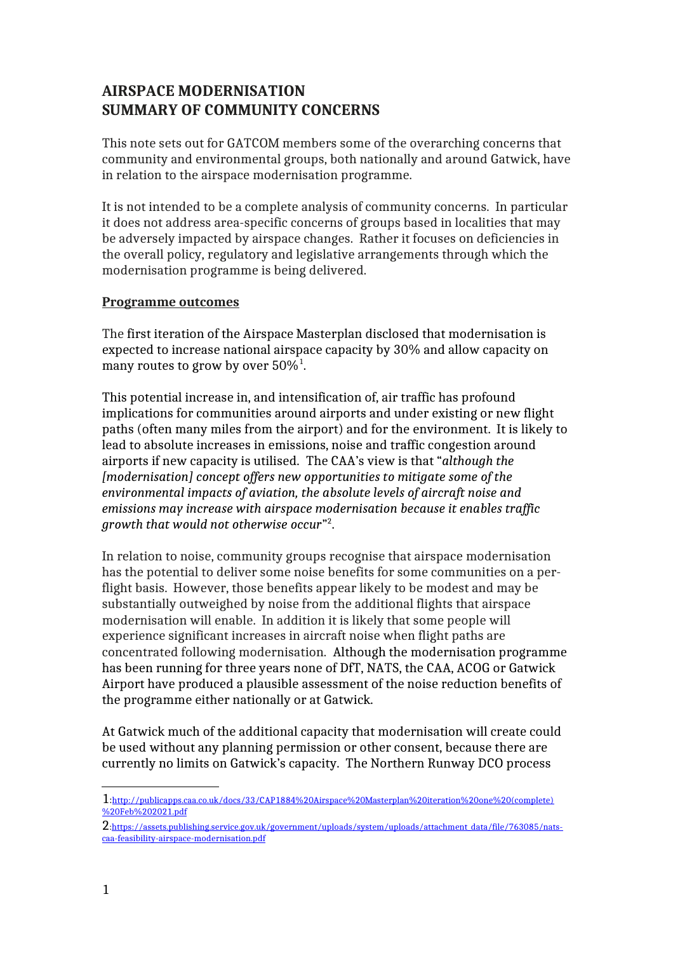# **AIRSPACE MODERNISATION SUMMARY OF COMMUNITY CONCERNS**

This note sets out for GATCOM members some of the overarching concerns that community and environmental groups, both nationally and around Gatwick, have in relation to the airspace modernisation programme.

It is not intended to be a complete analysis of community concerns. In particular it does not address area-specific concerns of groups based in localities that may be adversely impacted by airspace changes. Rather it focuses on deficiencies in the overall policy, regulatory and legislative arrangements through which the modernisation programme is being delivered.

#### **Programme outcomes**

The first iteration of the Airspace Masterplan disclosed that modernisation is expected to increase national airspace capacity by 30% and allow capacity on many routes to grow by over  $50\%^1$  $50\%^1$ .

This potential increase in, and intensification of, air traffic has profound implications for communities around airports and under existing or new flight paths (often many miles from the airport) and for the environment. It is likely to lead to absolute increases in emissions, noise and traffic congestion around airports if new capacity is utilised. The CAA's view is that "*although the [modernisation] concept offers new opportunities to mitigate some of the environmental impacts of aviation, the absolute levels of aircraft noise and emissions may increase with airspace modernisation because it enables traffic growth that would not otherwise occur*" [2](#page-0-1) .

In relation to noise, community groups recognise that airspace modernisation has the potential to deliver some noise benefits for some communities on a perflight basis. However, those benefits appear likely to be modest and may be substantially outweighed by noise from the additional flights that airspace modernisation will enable. In addition it is likely that some people will experience significant increases in aircraft noise when flight paths are concentrated following modernisation. Although the modernisation programme has been running for three years none of DfT, NATS, the CAA, ACOG or Gatwick Airport have produced a plausible assessment of the noise reduction benefits of the programme either nationally or at Gatwick.

At Gatwick much of the additional capacity that modernisation will create could be used without any planning permission or other consent, because there are currently no limits on Gatwick's capacity. The Northern Runway DCO process

<span id="page-0-0"></span><sup>1</sup>:[http://publicapps.caa.co.uk/docs/33/CAP1884%20Airspace%20Masterplan%20iteration%20one%20\(complete\)](http://publicapps.caa.co.uk/docs/33/CAP1884%20Airspace%20Masterplan%20iteration%20one%20(complete)%20Feb%202021.pdf) [%20Feb%202021.pdf](http://publicapps.caa.co.uk/docs/33/CAP1884%20Airspace%20Masterplan%20iteration%20one%20(complete)%20Feb%202021.pdf)

<span id="page-0-1"></span><sup>2</sup>[:https://assets.publishing.service.gov.uk/government/uploads/system/uploads/attachment\\_data/file/763085/nats](https://assets.publishing.service.gov.uk/government/uploads/system/uploads/attachment_data/file/763085/nats-caa-feasibility-airspace-modernisation.pdf)[caa-feasibility-airspace-modernisation.pdf](https://assets.publishing.service.gov.uk/government/uploads/system/uploads/attachment_data/file/763085/nats-caa-feasibility-airspace-modernisation.pdf)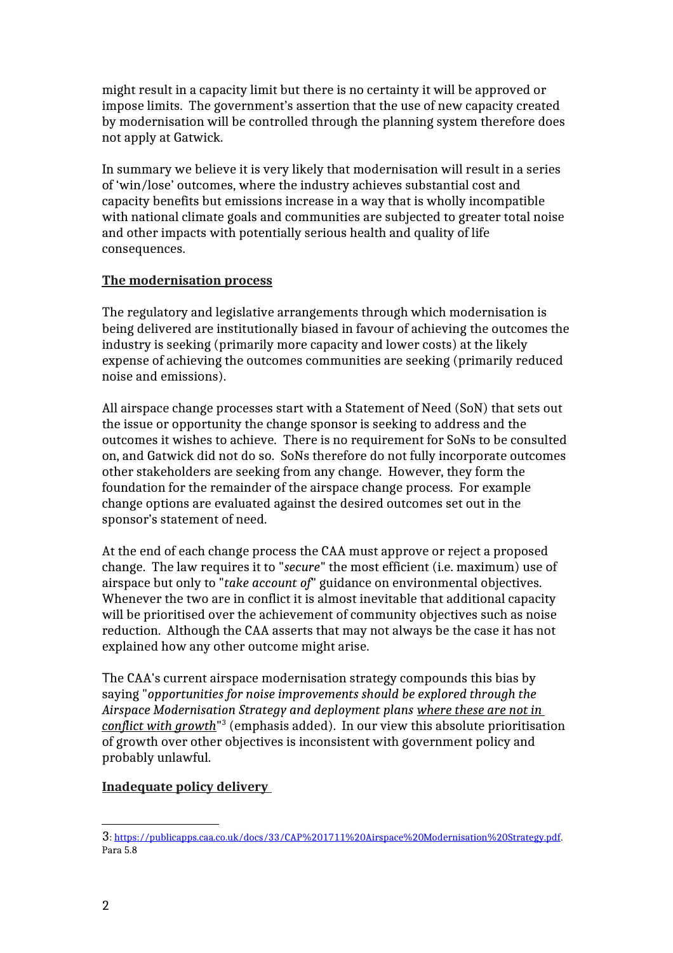might result in a capacity limit but there is no certainty it will be approved or impose limits. The government's assertion that the use of new capacity created by modernisation will be controlled through the planning system therefore does not apply at Gatwick.

In summary we believe it is very likely that modernisation will result in a series of 'win/lose' outcomes, where the industry achieves substantial cost and capacity benefits but emissions increase in a way that is wholly incompatible with national climate goals and communities are subjected to greater total noise and other impacts with potentially serious health and quality of life consequences.

### **The modernisation process**

The regulatory and legislative arrangements through which modernisation is being delivered are institutionally biased in favour of achieving the outcomes the industry is seeking (primarily more capacity and lower costs) at the likely expense of achieving the outcomes communities are seeking (primarily reduced noise and emissions).

All airspace change processes start with a Statement of Need (SoN) that sets out the issue or opportunity the change sponsor is seeking to address and the outcomes it wishes to achieve. There is no requirement for SoNs to be consulted on, and Gatwick did not do so. SoNs therefore do not fully incorporate outcomes other stakeholders are seeking from any change. However, they form the foundation for the remainder of the airspace change process. For example change options are evaluated against the desired outcomes set out in the sponsor's statement of need.

At the end of each change process the CAA must approve or reject a proposed change. The law requires it to "*secure*" the most efficient (i.e. maximum) use of airspace but only to "*take account of*" guidance on environmental objectives. Whenever the two are in conflict it is almost inevitable that additional capacity will be prioritised over the achievement of community objectives such as noise reduction. Although the CAA asserts that may not always be the case it has not explained how any other outcome might arise.

The CAA's current airspace modernisation strategy compounds this bias by saying "*opportunities for noise improvements should be explored through the Airspace Modernisation Strategy and deployment plans where these are not in conflict with growth*" [3](#page-1-0) (emphasis added). In our view this absolute prioritisation of growth over other objectives is inconsistent with government policy and probably unlawful.

# **Inadequate policy delivery**

<span id="page-1-0"></span><sup>3</sup>: [https://publicapps.caa.co.uk/docs/33/CAP%201711%20Airspace%20Modernisation%20Strategy.pdf.](https://publicapps.caa.co.uk/docs/33/CAP%201711%20Airspace%20Modernisation%20Strategy.pdf) Para 5.8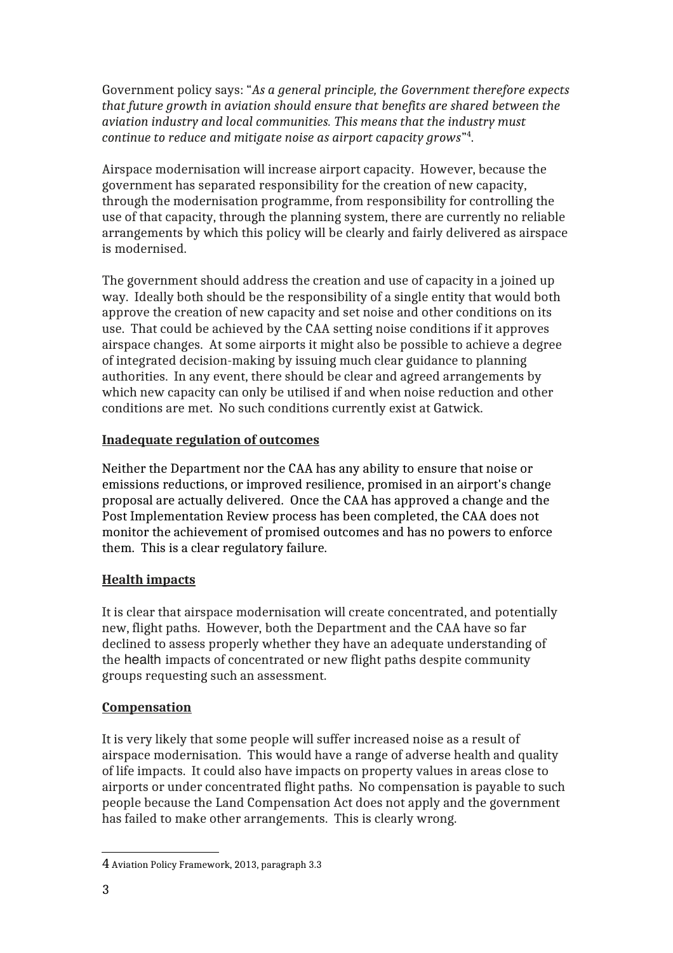Government policy says: "*As a general principle, the Government therefore expects that future growth in aviation should ensure that benefits are shared between the aviation industry and local communities. This means that the industry must continue to reduce and mitigate noise as airport capacity grows*" [4](#page-2-0) .

Airspace modernisation will increase airport capacity. However, because the government has separated responsibility for the creation of new capacity, through the modernisation programme, from responsibility for controlling the use of that capacity, through the planning system, there are currently no reliable arrangements by which this policy will be clearly and fairly delivered as airspace is modernised.

The government should address the creation and use of capacity in a joined up way. Ideally both should be the responsibility of a single entity that would both approve the creation of new capacity and set noise and other conditions on its use. That could be achieved by the CAA setting noise conditions if it approves airspace changes. At some airports it might also be possible to achieve a degree of integrated decision-making by issuing much clear guidance to planning authorities. In any event, there should be clear and agreed arrangements by which new capacity can only be utilised if and when noise reduction and other conditions are met. No such conditions currently exist at Gatwick.

## **Inadequate regulation of outcomes**

Neither the Department nor the CAA has any ability to ensure that noise or emissions reductions, or improved resilience, promised in an airport's change proposal are actually delivered. Once the CAA has approved a change and the Post Implementation Review process has been completed, the CAA does not monitor the achievement of promised outcomes and has no powers to enforce them. This is a clear regulatory failure.

# **Health impacts**

It is clear that airspace modernisation will create concentrated, and potentially new, flight paths. However, both the Department and the CAA have so far declined to assess properly whether they have an adequate understanding of the health impacts of concentrated or new flight paths despite community groups requesting such an assessment.

# **Compensation**

It is very likely that some people will suffer increased noise as a result of airspace modernisation. This would have a range of adverse health and quality of life impacts. It could also have impacts on property values in areas close to airports or under concentrated flight paths. No compensation is payable to such people because the Land Compensation Act does not apply and the government has failed to make other arrangements. This is clearly wrong.

<span id="page-2-0"></span><sup>4</sup> Aviation Policy Framework, 2013, paragraph 3.3